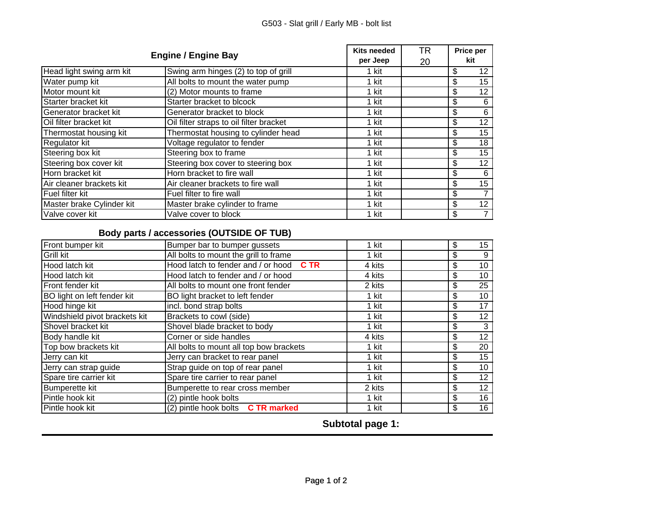| <b>Engine / Engine Bay</b> |                                         | <b>Kits needed</b><br>per Jeep | TR<br>20 | Price per<br>kit |                 |
|----------------------------|-----------------------------------------|--------------------------------|----------|------------------|-----------------|
| Head light swing arm kit   | Swing arm hinges (2) to top of grill    | 1 kit                          |          | \$               | 12              |
| Water pump kit             | All bolts to mount the water pump       | 1 kit                          |          | \$               | 15              |
| Motor mount kit            | (2) Motor mounts to frame               | 1 kit                          |          | \$               | 12              |
| Starter bracket kit        | Starter bracket to blcock               | 1 kit                          |          | \$               | 6               |
| Generator bracket kit      | Generator bracket to block              | 1 kit                          |          | \$               | 6               |
| Oil filter bracket kit     | Oil filter straps to oil filter bracket | 1 kit                          |          | \$               | 12              |
| Thermostat housing kit     | Thermostat housing to cylinder head     | 1 kit                          |          | \$               | 15              |
| Regulator kit              | Voltage regulator to fender             | 1 kit                          |          | \$               | 18              |
| Steering box kit           | Steering box to frame                   | 1 kit                          |          | \$               | 15              |
| Steering box cover kit     | Steering box cover to steering box      | 1 kit                          |          | \$               | 12              |
| Horn bracket kit           | Horn bracket to fire wall               | 1 kit                          |          | \$               | 6               |
| Air cleaner brackets kit   | Air cleaner brackets to fire wall       | 1 kit                          |          | \$               | 15              |
| Fuel filter kit            | Fuel filter to fire wall                | 1 kit                          |          | \$               |                 |
| Master brake Cylinder kit  | Master brake cylinder to frame          | 1 kit                          |          | \$               | 12 <sub>2</sub> |
| Valve cover kit            | Valve cover to block                    | 1 kit                          |          | \$               |                 |

## **Body parts / accessories (OUTSIDE OF TUB) parts / accessories (OUTSIDE OF**

| Front bumper kit              | Bumper bar to bumper gussets               | 1 kit  | \$ | 15 <sub>15</sub> |
|-------------------------------|--------------------------------------------|--------|----|------------------|
| Grill kit                     | All bolts to mount the grill to frame      | 1 kit  | \$ | 9                |
| Hood latch kit                | Hood latch to fender and / or hood<br>C TR | 4 kits | \$ | 10               |
| Hood latch kit                | Hood latch to fender and / or hood         | 4 kits | \$ | 10               |
| Front fender kit              | All bolts to mount one front fender        | 2 kits | \$ | 25               |
| BO light on left fender kit   | BO light bracket to left fender            | 1 kit  | \$ | 10               |
| Hood hinge kit                | incl. bond strap bolts                     | 1 kit  | \$ | 17               |
| Windshield pivot brackets kit | Brackets to cowl (side)                    | 1 kit  | \$ | 12               |
| Shovel bracket kit            | Shovel blade bracket to body               | 1 kit  | \$ | 3                |
| Body handle kit               | Corner or side handles                     | 4 kits | \$ | 12               |
| Top bow brackets kit          | All bolts to mount all top bow brackets    | 1 kit  | \$ | 20               |
| Jerry can kit                 | Jerry can bracket to rear panel            | 1 kit  | \$ | 15               |
| Jerry can strap guide         | Strap guide on top of rear panel           | 1 kit  | \$ | 10               |
| Spare tire carrier kit        | Spare tire carrier to rear panel           | 1 kit  | \$ | 12               |
| <b>Bumperette kit</b>         | Bumperette to rear cross member            | 2 kits | \$ | 12               |
| Pintle hook kit               | (2) pintle hook bolts                      | 1 kit  | \$ | 16               |
| Pintle hook kit               | (2) pintle hook bolts C TR marked          | 1 kit  | \$ | 16               |

**Subtotal page 1:**